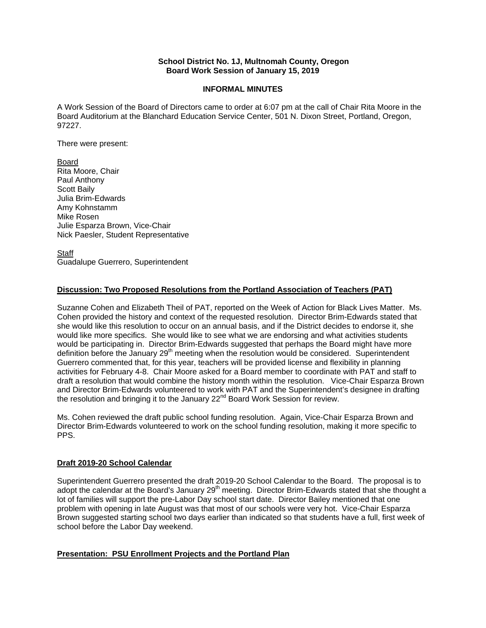# **School District No. 1J, Multnomah County, Oregon Board Work Session of January 15, 2019**

# **INFORMAL MINUTES**

A Work Session of the Board of Directors came to order at 6:07 pm at the call of Chair Rita Moore in the Board Auditorium at the Blanchard Education Service Center, 501 N. Dixon Street, Portland, Oregon, 97227.

There were present:

Board Rita Moore, Chair Paul Anthony Scott Baily Julia Brim-Edwards Amy Kohnstamm Mike Rosen Julie Esparza Brown, Vice-Chair Nick Paesler, Student Representative

**Staff** Guadalupe Guerrero, Superintendent

# **Discussion: Two Proposed Resolutions from the Portland Association of Teachers (PAT)**

Suzanne Cohen and Elizabeth Theil of PAT, reported on the Week of Action for Black Lives Matter. Ms. Cohen provided the history and context of the requested resolution. Director Brim-Edwards stated that she would like this resolution to occur on an annual basis, and if the District decides to endorse it, she would like more specifics. She would like to see what we are endorsing and what activities students would be participating in. Director Brim-Edwards suggested that perhaps the Board might have more definition before the January 29<sup>th</sup> meeting when the resolution would be considered. Superintendent Guerrero commented that, for this year, teachers will be provided license and flexibility in planning activities for February 4-8. Chair Moore asked for a Board member to coordinate with PAT and staff to draft a resolution that would combine the history month within the resolution. Vice-Chair Esparza Brown and Director Brim-Edwards volunteered to work with PAT and the Superintendent's designee in drafting the resolution and bringing it to the January 22<sup>nd</sup> Board Work Session for review.

Ms. Cohen reviewed the draft public school funding resolution. Again, Vice-Chair Esparza Brown and Director Brim-Edwards volunteered to work on the school funding resolution, making it more specific to PPS.

### **Draft 2019-20 School Calendar**

Superintendent Guerrero presented the draft 2019-20 School Calendar to the Board. The proposal is to adopt the calendar at the Board's January 29<sup>th</sup> meeting. Director Brim-Edwards stated that she thought a lot of families will support the pre-Labor Day school start date. Director Bailey mentioned that one problem with opening in late August was that most of our schools were very hot. Vice-Chair Esparza Brown suggested starting school two days earlier than indicated so that students have a full, first week of school before the Labor Day weekend.

# **Presentation: PSU Enrollment Projects and the Portland Plan**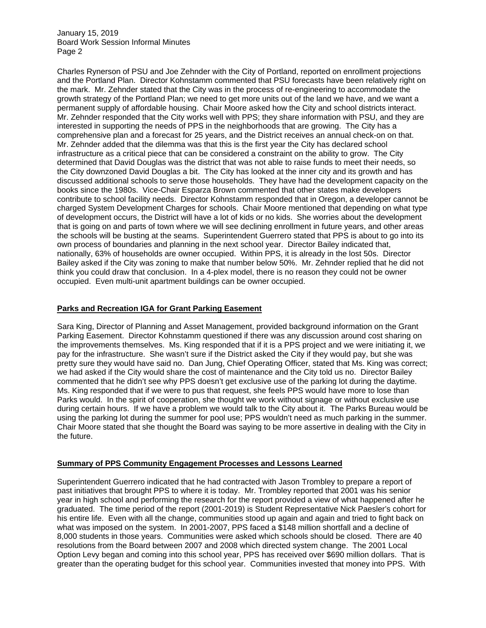January 15, 2019 Board Work Session Informal Minutes Page 2

Charles Rynerson of PSU and Joe Zehnder with the City of Portland, reported on enrollment projections and the Portland Plan. Director Kohnstamm commented that PSU forecasts have been relatively right on the mark. Mr. Zehnder stated that the City was in the process of re-engineering to accommodate the growth strategy of the Portland Plan; we need to get more units out of the land we have, and we want a permanent supply of affordable housing. Chair Moore asked how the City and school districts interact. Mr. Zehnder responded that the City works well with PPS; they share information with PSU, and they are interested in supporting the needs of PPS in the neighborhoods that are growing. The City has a comprehensive plan and a forecast for 25 years, and the District receives an annual check-on on that. Mr. Zehnder added that the dilemma was that this is the first year the City has declared school infrastructure as a critical piece that can be considered a constraint on the ability to grow. The City determined that David Douglas was the district that was not able to raise funds to meet their needs, so the City downzoned David Douglas a bit. The City has looked at the inner city and its growth and has discussed additional schools to serve those households. They have had the development capacity on the books since the 1980s. Vice-Chair Esparza Brown commented that other states make developers contribute to school facility needs. Director Kohnstamm responded that in Oregon, a developer cannot be charged System Development Charges for schools. Chair Moore mentioned that depending on what type of development occurs, the District will have a lot of kids or no kids. She worries about the development that is going on and parts of town where we will see declining enrollment in future years, and other areas the schools will be busting at the seams. Superintendent Guerrero stated that PPS is about to go into its own process of boundaries and planning in the next school year. Director Bailey indicated that, nationally, 63% of households are owner occupied. Within PPS, it is already in the lost 50s. Director Bailey asked if the City was zoning to make that number below 50%. Mr. Zehnder replied that he did not think you could draw that conclusion. In a 4-plex model, there is no reason they could not be owner occupied. Even multi-unit apartment buildings can be owner occupied.

# **Parks and Recreation IGA for Grant Parking Easement**

Sara King, Director of Planning and Asset Management, provided background information on the Grant Parking Easement. Director Kohnstamm questioned if there was any discussion around cost sharing on the improvements themselves. Ms. King responded that if it is a PPS project and we were initiating it, we pay for the infrastructure. She wasn't sure if the District asked the City if they would pay, but she was pretty sure they would have said no. Dan Jung, Chief Operating Officer, stated that Ms. King was correct; we had asked if the City would share the cost of maintenance and the City told us no. Director Bailey commented that he didn't see why PPS doesn't get exclusive use of the parking lot during the daytime. Ms. King responded that if we were to pus that request, she feels PPS would have more to lose than Parks would. In the spirit of cooperation, she thought we work without signage or without exclusive use during certain hours. If we have a problem we would talk to the City about it. The Parks Bureau would be using the parking lot during the summer for pool use; PPS wouldn't need as much parking in the summer. Chair Moore stated that she thought the Board was saying to be more assertive in dealing with the City in the future.

### **Summary of PPS Community Engagement Processes and Lessons Learned**

Superintendent Guerrero indicated that he had contracted with Jason Trombley to prepare a report of past initiatives that brought PPS to where it is today. Mr. Trombley reported that 2001 was his senior year in high school and performing the research for the report provided a view of what happened after he graduated. The time period of the report (2001-2019) is Student Representative Nick Paesler's cohort for his entire life. Even with all the change, communities stood up again and again and tried to fight back on what was imposed on the system. In 2001-2007, PPS faced a \$148 million shortfall and a decline of 8,000 students in those years. Communities were asked which schools should be closed. There are 40 resolutions from the Board between 2007 and 2008 which directed system change. The 2001 Local Option Levy began and coming into this school year, PPS has received over \$690 million dollars. That is greater than the operating budget for this school year. Communities invested that money into PPS. With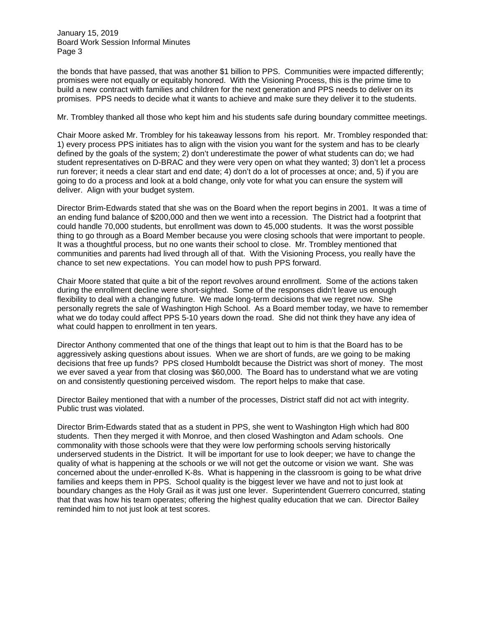January 15, 2019 Board Work Session Informal Minutes Page 3

the bonds that have passed, that was another \$1 billion to PPS. Communities were impacted differently; promises were not equally or equitably honored. With the Visioning Process, this is the prime time to build a new contract with families and children for the next generation and PPS needs to deliver on its promises. PPS needs to decide what it wants to achieve and make sure they deliver it to the students.

#### Mr. Trombley thanked all those who kept him and his students safe during boundary committee meetings.

Chair Moore asked Mr. Trombley for his takeaway lessons from his report. Mr. Trombley responded that: 1) every process PPS initiates has to align with the vision you want for the system and has to be clearly defined by the goals of the system; 2) don't underestimate the power of what students can do; we had student representatives on D-BRAC and they were very open on what they wanted; 3) don't let a process run forever; it needs a clear start and end date; 4) don't do a lot of processes at once; and, 5) if you are going to do a process and look at a bold change, only vote for what you can ensure the system will deliver. Align with your budget system.

Director Brim-Edwards stated that she was on the Board when the report begins in 2001. It was a time of an ending fund balance of \$200,000 and then we went into a recession. The District had a footprint that could handle 70,000 students, but enrollment was down to 45,000 students. It was the worst possible thing to go through as a Board Member because you were closing schools that were important to people. It was a thoughtful process, but no one wants their school to close. Mr. Trombley mentioned that communities and parents had lived through all of that. With the Visioning Process, you really have the chance to set new expectations. You can model how to push PPS forward.

Chair Moore stated that quite a bit of the report revolves around enrollment. Some of the actions taken during the enrollment decline were short-sighted. Some of the responses didn't leave us enough flexibility to deal with a changing future. We made long-term decisions that we regret now. She personally regrets the sale of Washington High School. As a Board member today, we have to remember what we do today could affect PPS 5-10 years down the road. She did not think they have any idea of what could happen to enrollment in ten years.

Director Anthony commented that one of the things that leapt out to him is that the Board has to be aggressively asking questions about issues. When we are short of funds, are we going to be making decisions that free up funds? PPS closed Humboldt because the District was short of money. The most we ever saved a year from that closing was \$60,000. The Board has to understand what we are voting on and consistently questioning perceived wisdom. The report helps to make that case.

Director Bailey mentioned that with a number of the processes, District staff did not act with integrity. Public trust was violated.

Director Brim-Edwards stated that as a student in PPS, she went to Washington High which had 800 students. Then they merged it with Monroe, and then closed Washington and Adam schools. One commonality with those schools were that they were low performing schools serving historically underserved students in the District. It will be important for use to look deeper; we have to change the quality of what is happening at the schools or we will not get the outcome or vision we want. She was concerned about the under-enrolled K-8s. What is happening in the classroom is going to be what drive families and keeps them in PPS. School quality is the biggest lever we have and not to just look at boundary changes as the Holy Grail as it was just one lever. Superintendent Guerrero concurred, stating that that was how his team operates; offering the highest quality education that we can. Director Bailey reminded him to not just look at test scores.